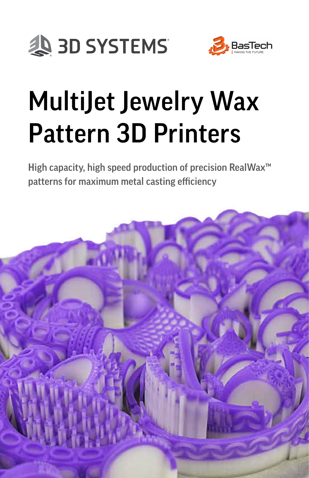



# MultiJet Jewelry Wax Pattern 3D Printers

High capacity, high speed production of precision RealWax<sup>™</sup> patterns for maximum metal casting efficiency

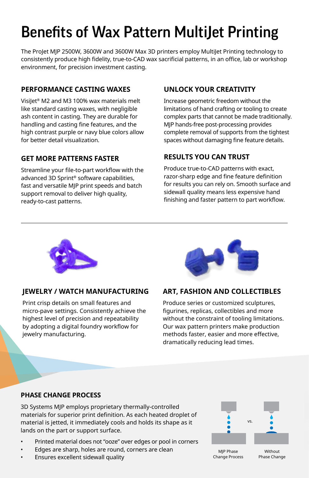# Benefits of Wax Pattern MultiJet Printing

The ProJet MJP 2500W, 3600W and 3600W Max 3D printers employ MultiJet Printing technology to consistently produce high fidelity, true-to-CAD wax sacrificial patterns, in an office, lab or workshop environment, for precision investment casting.

### **PERFORMANCE CASTING WAXES**

Visilet<sup>®</sup> M2 and M3 100% wax materials melt like standard casting waxes, with negligible ash content in casting. They are durable for handling and casting fine features, and the high contrast purple or navy blue colors allow for better detail visualization.

#### **GET MORE PATTERNS FASTER**

Streamline your file-to-part workflow with the advanced 3D Sprint® software capabilities, fast and versatile MJP print speeds and batch support removal to deliver high quality, ready-to-cast patterns.

#### **UNLOCK YOUR CREATIVITY**

Increase geometric freedom without the limitations of hand crafting or tooling to create complex parts that cannot be made traditionally. MJP hands-free post-processing provides complete removal of supports from the tightest spaces without damaging fine feature details.

#### **RESULTS YOU CAN TRUST**

Produce true-to-CAD patterns with exact, razor-sharp edge and fine feature definition for results you can rely on. Smooth surface and sidewall quality means less expensive hand finishing and faster pattern to part workflow.



#### **JEWELRY / WATCH MANUFACTURING**

Print crisp details on small features and micro-pave settings. Consistently achieve the highest level of precision and repeatability by adopting a digital foundry workflow for jewelry manufacturing.



#### **ART, FASHION AND COLLECTIBLES**

Produce series or customized sculptures, figurines, replicas, collectibles and more without the constraint of tooling limitations. Our wax pattern printers make production methods faster, easier and more effective, dramatically reducing lead times.

#### **PHASE CHANGE PROCESS**

3D Systems MJP employs proprietary thermally-controlled materials for superior print definition. As each heated droplet of material is jetted, it immediately cools and holds its shape as it lands on the part or support surface.

- Printed material does not "ooze" over edges or pool in corners
- Edges are sharp, holes are round, corners are clean
- Ensures excellent sidewall quality



Change Process

Phase Change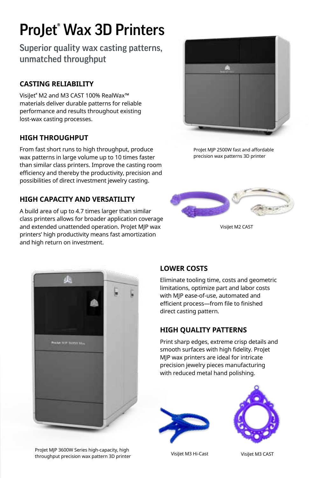# ProJet® Wax 3D Printers

Superior quality wax casting patterns, unmatched throughput

# **CASTING RELIABILITY**

Visilet<sup>®</sup> M2 and M3 CAST 100% RealWax™ materials deliver durable patterns for reliable performance and results throughout existing lost-wax casting processes.

### **HIGH THROUGHPUT**

From fast short runs to high throughput, produce wax patterns in large volume up to 10 times faster than similar class printers. Improve the casting room efficiency and thereby the productivity, precision and possibilities of direct investment jewelry casting.

# **HIGH CAPACITY AND VERSATILITY**

A build area of up to 4.7 times larger than similar class printers allows for broader application coverage and extended unattended operation. ProJet MJP wax printers' high productivity means fast amortization and high return on investment.



ProJet MJP 2500W fast and affordable precision wax patterns 3D printer



Visilet M2 CAST



# **LOWER COSTS**

Eliminate tooling time, costs and geometric limitations, optimize part and labor costs with MJP ease-of-use, automated and efficient process—from file to finished direct casting pattern.

# **HIGH QUALITY PATTERNS**

Print sharp edges, extreme crisp details and smooth surfaces with high fidelity. ProJet MJP wax printers are ideal for intricate precision jewelry pieces manufacturing with reduced metal hand polishing.





ProJet MJP 3600W Series high-capacity, high throughput precision wax pattern 3D printer VisiJet M3 Hi-Cast

VisiJet M3 CAST